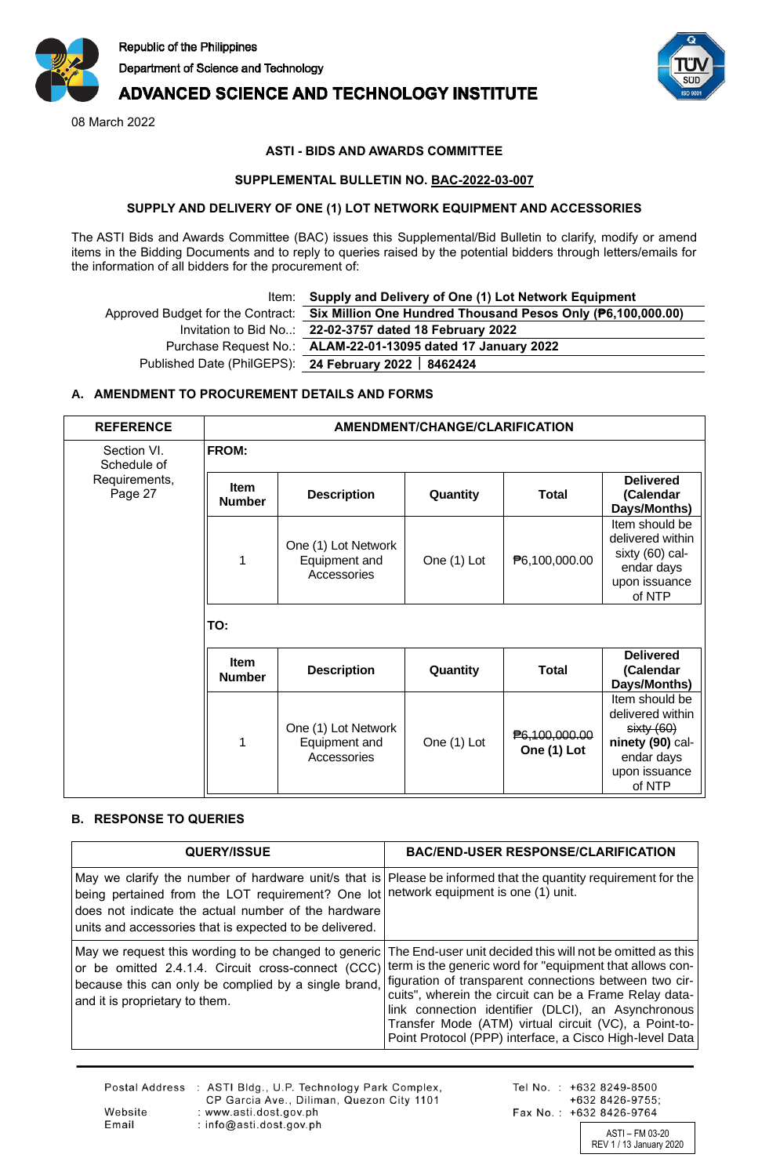

## **ADVANCED SCIENCE AND TECHNOLOGY INSTITUTE**

08 March 2022



## **ASTI - BIDS AND AWARDS COMMITTEE**

#### **SUPPLEMENTAL BULLETIN NO. BAC-2022-03-007**

#### **SUPPLY AND DELIVERY OF ONE (1) LOT NETWORK EQUIPMENT AND ACCESSORIES**

The ASTI Bids and Awards Committee (BAC) issues this Supplemental/Bid Bulletin to clarify, modify or amend items in the Bidding Documents and to reply to queries raised by the potential bidders through letters/emails for the information of all bidders for the procurement of:

# Item: **Supply and Delivery of One (1) Lot Network Equipment**

Approved Budget for the Contract: **Six Million One Hundred Thousand Pesos Only (₱6,100,000.00)** Invitation to Bid No..: **22-02-3757 dated 18 February 2022** Purchase Request No.: **ALAM-22-01-13095 dated 17 January 2022** Published Date (PhilGEPS): **24 February 2022 8462424**

## **A. AMENDMENT TO PROCUREMENT DETAILS AND FORMS**

| <b>REFERENCE</b>           | AMENDMENT/CHANGE/CLARIFICATION |                                                     |             |                                     |                                                                                                              |  |
|----------------------------|--------------------------------|-----------------------------------------------------|-------------|-------------------------------------|--------------------------------------------------------------------------------------------------------------|--|
| Section VI.<br>Schedule of | <b>FROM:</b>                   |                                                     |             |                                     |                                                                                                              |  |
| Requirements,<br>Page 27   | <b>Item</b><br><b>Number</b>   | <b>Description</b>                                  | Quantity    | <b>Total</b>                        | <b>Delivered</b><br>(Calendar<br>Days/Months)                                                                |  |
|                            | 1                              | One (1) Lot Network<br>Equipment and<br>Accessories | One (1) Lot | P6,100,000.00                       | Item should be<br>delivered within<br>sixty (60) cal-<br>endar days<br>upon issuance<br>of NTP               |  |
|                            | TO:                            |                                                     |             |                                     |                                                                                                              |  |
|                            | <b>Item</b><br><b>Number</b>   | <b>Description</b>                                  | Quantity    | <b>Total</b>                        | <b>Delivered</b><br>(Calendar<br>Days/Months)                                                                |  |
|                            | 1                              | One (1) Lot Network<br>Equipment and<br>Accessories | One (1) Lot | <b>₱6,100,000.00</b><br>One (1) Lot | Item should be<br>delivered within<br>sixty(60)<br>ninety (90) cal-<br>endar days<br>upon issuance<br>of NTP |  |

### **B. RESPONSE TO QUERIES**

| <b>QUERY/ISSUE</b>                                                                                                                                                                                   | <b>BAC/END-USER RESPONSE/CLARIFICATION</b>                                                                                                                                                                                                                                                                                                                                                                           |
|------------------------------------------------------------------------------------------------------------------------------------------------------------------------------------------------------|----------------------------------------------------------------------------------------------------------------------------------------------------------------------------------------------------------------------------------------------------------------------------------------------------------------------------------------------------------------------------------------------------------------------|
| being pertained from the LOT requirement? One lot<br>does not indicate the actual number of the hardware<br>units and accessories that is expected to be delivered.                                  | May we clarify the number of hardware unit's that is Please be informed that the quantity requirement for the<br>network equipment is one (1) unit.                                                                                                                                                                                                                                                                  |
| May we request this wording to be changed to generic<br>or be omitted 2.4.1.4. Circuit cross-connect (CCC)<br>because this can only be complied by a single brand,<br>and it is proprietary to them. | The End-user unit decided this will not be omitted as this<br>term is the generic word for "equipment that allows con-<br>figuration of transparent connections between two cir-<br>cuits", wherein the circuit can be a Frame Relay data-<br>link connection identifier (DLCI), an Asynchronous<br>Transfer Mode (ATM) virtual circuit (VC), a Point-to-<br>Point Protocol (PPP) interface, a Cisco High-level Data |

|         | Postal Address : ASTI Bldg., U.P. Technology Park Complex,<br>CP Garcia Ave., Diliman, Quezon City 1101 |
|---------|---------------------------------------------------------------------------------------------------------|
| Website | : www.asti.dost.gov.ph                                                                                  |
| Email   | : info@asti.dost.gov.ph                                                                                 |

Tel No.: +632 8249-8500 +632 8426-9755; Fax No.: +632 8426-9764